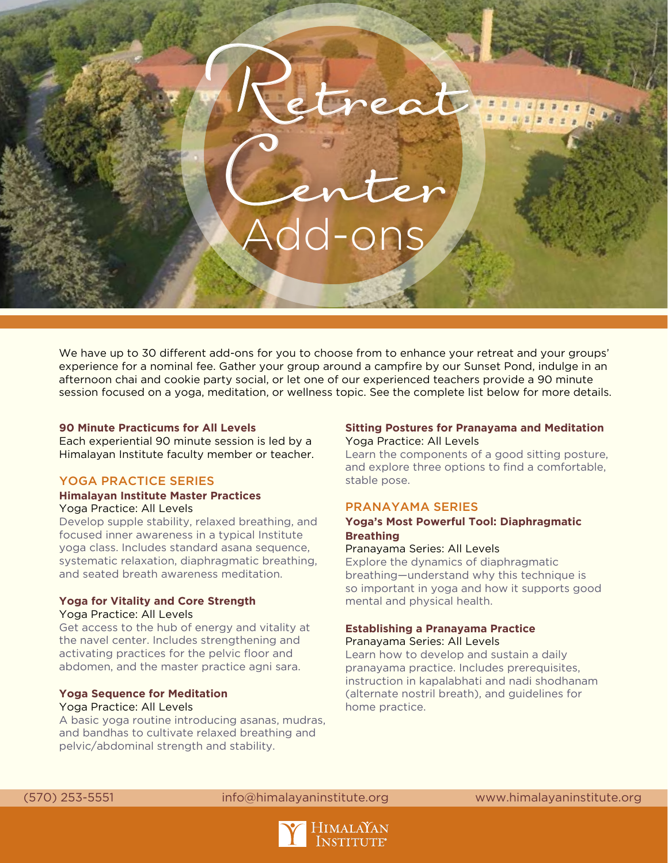# Center Add-ons

Retreat

We have up to 30 different add-ons for you to choose from to enhance your retreat and your groups' experience for a nominal fee. Gather your group around a campfire by our Sunset Pond, indulge in an afternoon chai and cookie party social, or let one of our experienced teachers provide a 90 minute session focused on a yoga, meditation, or wellness topic. See the complete list below for more details.

# **90 Minute Practicums for All Levels**

Each experiential 90 minute session is led by a Himalayan Institute faculty member or teacher.

## YOGA PRACTICE SERIES

#### **Himalayan Institute Master Practices** Yoga Practice: All Levels

Develop supple stability, relaxed breathing, and focused inner awareness in a typical Institute yoga class. Includes standard asana sequence, systematic relaxation, diaphragmatic breathing, and seated breath awareness meditation.

#### **Yoga for Vitality and Core Strength** Yoga Practice: All Levels

Get access to the hub of energy and vitality at the navel center. Includes strengthening and activating practices for the pelvic floor and abdomen, and the master practice agni sara.

#### **Yoga Sequence for Meditation** Yoga Practice: All Levels

A basic yoga routine introducing asanas, mudras, and bandhas to cultivate relaxed breathing and pelvic/abdominal strength and stability.

### **Sitting Postures for Pranayama and Meditation** Yoga Practice: All Levels

Learn the components of a good sitting posture, and explore three options to find a comfortable, stable pose.

### PRANAYAMA SERIES

### **Yoga's Most Powerful Tool: Diaphragmatic Breathing**

Pranayama Series: All Levels

Explore the dynamics of diaphragmatic breathing—understand why this technique is so important in yoga and how it supports good mental and physical health.

### **Establishing a Pranayama Practice**

Pranayama Series: All Levels

Learn how to develop and sustain a daily pranayama practice. Includes prerequisites, instruction in kapalabhati and nadi shodhanam (alternate nostril breath), and guidelines for home practice.

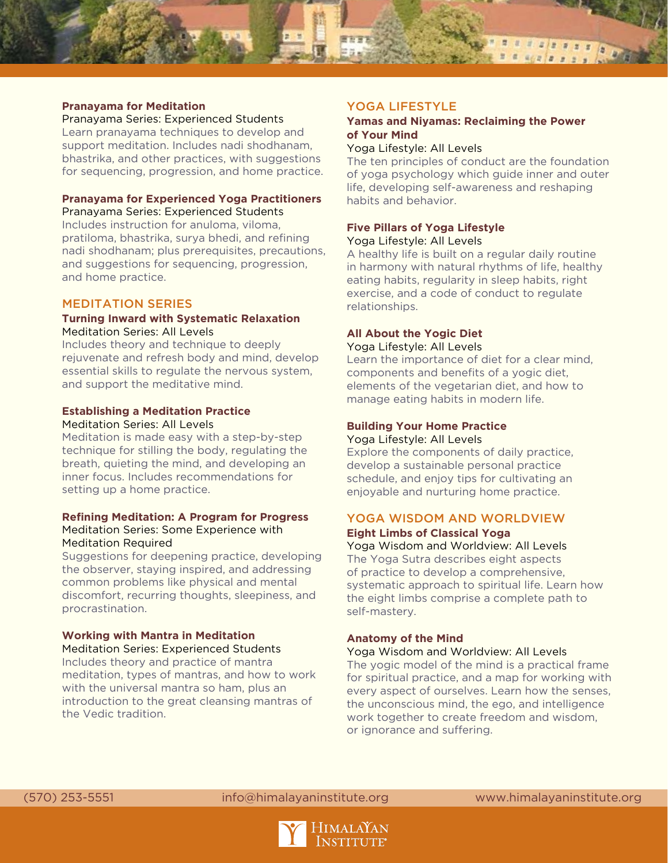

#### **Pranayama for Meditation**

Pranayama Series: Experienced Students Learn pranayama techniques to develop and support meditation. Includes nadi shodhanam, bhastrika, and other practices, with suggestions for sequencing, progression, and home practice.

# **Pranayama for Experienced Yoga Practitioners**

Pranayama Series: Experienced Students Includes instruction for anuloma, viloma, pratiloma, bhastrika, surya bhedi, and refining nadi shodhanam; plus prerequisites, precautions, and suggestions for sequencing, progression, and home practice.

### MEDITATION SERIES

#### **Turning Inward with Systematic Relaxation** Meditation Series: All Levels

Includes theory and technique to deeply rejuvenate and refresh body and mind, develop essential skills to regulate the nervous system, and support the meditative mind.

#### **Establishing a Meditation Practice** Meditation Series: All Levels

Meditation is made easy with a step-by-step technique for stilling the body, regulating the breath, quieting the mind, and developing an inner focus. Includes recommendations for setting up a home practice.

#### **Refining Meditation: A Program for Progress** Meditation Series: Some Experience with Meditation Required

Suggestions for deepening practice, developing the observer, staying inspired, and addressing common problems like physical and mental discomfort, recurring thoughts, sleepiness, and procrastination.

#### **Working with Mantra in Meditation** Meditation Series: Experienced Students

Includes theory and practice of mantra meditation, types of mantras, and how to work with the universal mantra so ham, plus an introduction to the great cleansing mantras of the Vedic tradition.

# YOGA LIFESTYLE

### **Yamas and Niyamas: Reclaiming the Power of Your Mind**

### Yoga Lifestyle: All Levels

The ten principles of conduct are the foundation of yoga psychology which guide inner and outer life, developing self-awareness and reshaping habits and behavior.

## **Five Pillars of Yoga Lifestyle**  Yoga Lifestyle: All Levels

A healthy life is built on a regular daily routine in harmony with natural rhythms of life, healthy eating habits, regularity in sleep habits, right exercise, and a code of conduct to regulate relationships.

## **All About the Yogic Diet** Yoga Lifestyle: All Levels

Learn the importance of diet for a clear mind, components and benefits of a yogic diet, elements of the vegetarian diet, and how to manage eating habits in modern life.

### **Building Your Home Practice** Yoga Lifestyle: All Levels

Explore the components of daily practice, develop a sustainable personal practice schedule, and enjoy tips for cultivating an enjoyable and nurturing home practice.

# YOGA WISDOM AND WORLDVIEW **Eight Limbs of Classical Yoga**

Yoga Wisdom and Worldview: All Levels The Yoga Sutra describes eight aspects of practice to develop a comprehensive, systematic approach to spiritual life. Learn how the eight limbs comprise a complete path to self-mastery.

# **Anatomy of the Mind**

### Yoga Wisdom and Worldview: All Levels

The yogic model of the mind is a practical frame for spiritual practice, and a map for working with every aspect of ourselves. Learn how the senses, the unconscious mind, the ego, and intelligence work together to create freedom and wisdom, or ignorance and suffering.